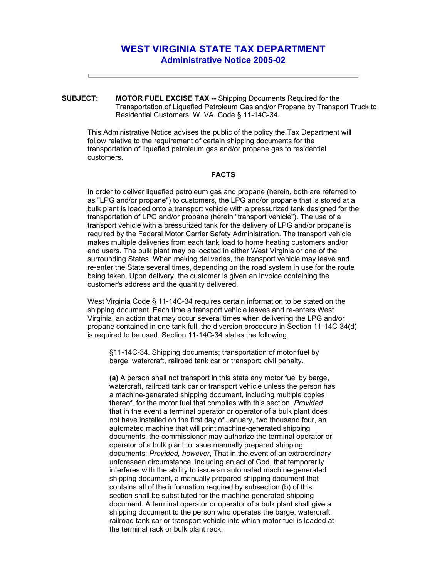# **WEST VIRGINIA STATE TAX DEPARTMENT Administrative Notice 2005-02**

**SUBJECT: MOTOR FUEL EXCISE TAX --** Shipping Documents Required for the Transportation of Liquefied Petroleum Gas and/or Propane by Transport Truck to Residential Customers. W. VA. Code § 11-14C-34.

This Administrative Notice advises the public of the policy the Tax Department will follow relative to the requirement of certain shipping documents for the transportation of liquefied petroleum gas and/or propane gas to residential customers.

### **FACTS**

In order to deliver liquefied petroleum gas and propane (herein, both are referred to as "LPG and/or propane") to customers, the LPG and/or propane that is stored at a bulk plant is loaded onto a transport vehicle with a pressurized tank designed for the transportation of LPG and/or propane (herein "transport vehicle"). The use of a transport vehicle with a pressurized tank for the delivery of LPG and/or propane is required by the Federal Motor Carrier Safety Administration. The transport vehicle makes multiple deliveries from each tank load to home heating customers and/or end users. The bulk plant may be located in either West Virginia or one of the surrounding States. When making deliveries, the transport vehicle may leave and re-enter the State several times, depending on the road system in use for the route being taken. Upon delivery, the customer is given an invoice containing the customer's address and the quantity delivered.

West Virginia Code § 11-14C-34 requires certain information to be stated on the shipping document. Each time a transport vehicle leaves and re-enters West Virginia, an action that may occur several times when delivering the LPG and/or propane contained in one tank full, the diversion procedure in Section 11-14C-34(d) is required to be used. Section 11-14C-34 states the following.

§11-14C-34. Shipping documents; transportation of motor fuel by barge, watercraft, railroad tank car or transport; civil penalty.

**(a)** A person shall not transport in this state any motor fuel by barge, watercraft, railroad tank car or transport vehicle unless the person has a machine-generated shipping document, including multiple copies thereof, for the motor fuel that complies with this section. *Provided*, that in the event a terminal operator or operator of a bulk plant does not have installed on the first day of January, two thousand four, an automated machine that will print machine-generated shipping documents, the commissioner may authorize the terminal operator or operator of a bulk plant to issue manually prepared shipping documents: *Provided, however*, That in the event of an extraordinary unforeseen circumstance, including an act of God, that temporarily interferes with the ability to issue an automated machine-generated shipping document, a manually prepared shipping document that contains all of the information required by subsection (b) of this section shall be substituted for the machine-generated shipping document. A terminal operator or operator of a bulk plant shall give a shipping document to the person who operates the barge, watercraft, railroad tank car or transport vehicle into which motor fuel is loaded at the terminal rack or bulk plant rack.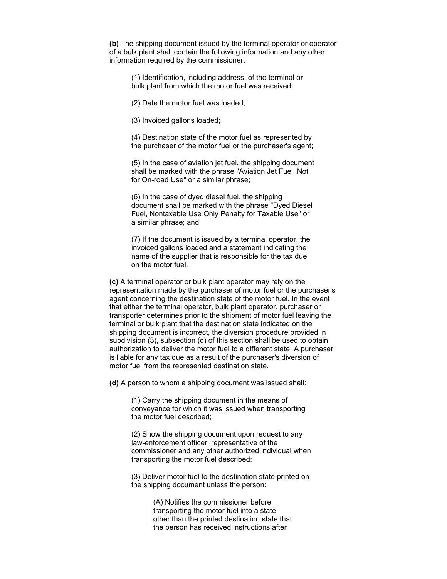**(b)** The shipping document issued by the terminal operator or operator of a bulk plant shall contain the following information and any other information required by the commissioner:

(1) Identification, including address, of the terminal or bulk plant from which the motor fuel was received;

(2) Date the motor fuel was loaded;

(3) Invoiced gallons loaded;

(4) Destination state of the motor fuel as represented by the purchaser of the motor fuel or the purchaser's agent;

(5) In the case of aviation jet fuel, the shipping document shall be marked with the phrase "Aviation Jet Fuel, Not for On-road Use" or a similar phrase;

(6) In the case of dyed diesel fuel, the shipping document shall be marked with the phrase "Dyed Diesel Fuel, Nontaxable Use Only Penalty for Taxable Use" or a similar phrase; and

(7) If the document is issued by a terminal operator, the invoiced gallons loaded and a statement indicating the name of the supplier that is responsible for the tax due on the motor fuel.

**(c)** A terminal operator or bulk plant operator may rely on the representation made by the purchaser of motor fuel or the purchaser's agent concerning the destination state of the motor fuel. In the event that either the terminal operator, bulk plant operator, purchaser or transporter determines prior to the shipment of motor fuel leaving the terminal or bulk plant that the destination state indicated on the shipping document is incorrect, the diversion procedure provided in subdivision (3), subsection (d) of this section shall be used to obtain authorization to deliver the motor fuel to a different state. A purchaser is liable for any tax due as a result of the purchaser's diversion of motor fuel from the represented destination state.

**(d)** A person to whom a shipping document was issued shall:

(1) Carry the shipping document in the means of conveyance for which it was issued when transporting the motor fuel described;

(2) Show the shipping document upon request to any law-enforcement officer, representative of the commissioner and any other authorized individual when transporting the motor fuel described;

(3) Deliver motor fuel to the destination state printed on the shipping document unless the person:

> (A) Notifies the commissioner before transporting the motor fuel into a state other than the printed destination state that the person has received instructions after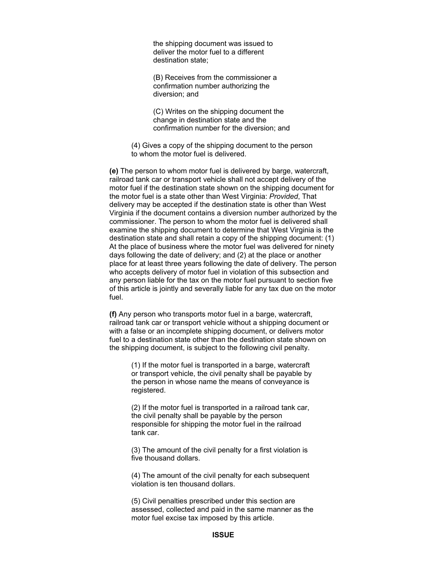the shipping document was issued to deliver the motor fuel to a different destination state;

(B) Receives from the commissioner a confirmation number authorizing the diversion; and

(C) Writes on the shipping document the change in destination state and the confirmation number for the diversion; and

(4) Gives a copy of the shipping document to the person to whom the motor fuel is delivered.

**(e)** The person to whom motor fuel is delivered by barge, watercraft, railroad tank car or transport vehicle shall not accept delivery of the motor fuel if the destination state shown on the shipping document for the motor fuel is a state other than West Virginia: *Provided*, That delivery may be accepted if the destination state is other than West Virginia if the document contains a diversion number authorized by the commissioner. The person to whom the motor fuel is delivered shall examine the shipping document to determine that West Virginia is the destination state and shall retain a copy of the shipping document: (1) At the place of business where the motor fuel was delivered for ninety days following the date of delivery; and (2) at the place or another place for at least three years following the date of delivery. The person who accepts delivery of motor fuel in violation of this subsection and any person liable for the tax on the motor fuel pursuant to section five of this article is jointly and severally liable for any tax due on the motor fuel.

**(f)** Any person who transports motor fuel in a barge, watercraft, railroad tank car or transport vehicle without a shipping document or with a false or an incomplete shipping document, or delivers motor fuel to a destination state other than the destination state shown on the shipping document, is subject to the following civil penalty.

> (1) If the motor fuel is transported in a barge, watercraft or transport vehicle, the civil penalty shall be payable by the person in whose name the means of conveyance is registered.

(2) If the motor fuel is transported in a railroad tank car, the civil penalty shall be payable by the person responsible for shipping the motor fuel in the railroad tank car.

(3) The amount of the civil penalty for a first violation is five thousand dollars.

(4) The amount of the civil penalty for each subsequent violation is ten thousand dollars.

(5) Civil penalties prescribed under this section are assessed, collected and paid in the same manner as the motor fuel excise tax imposed by this article.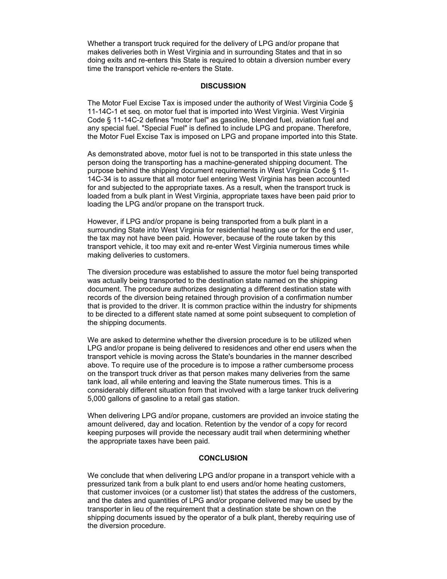Whether a transport truck required for the delivery of LPG and/or propane that makes deliveries both in West Virginia and in surrounding States and that in so doing exits and re-enters this State is required to obtain a diversion number every time the transport vehicle re-enters the State.

## **DISCUSSION**

The Motor Fuel Excise Tax is imposed under the authority of West Virginia Code § 11-14C-1 et seq. on motor fuel that is imported into West Virginia. West Virginia Code § 11-14C-2 defines "motor fuel" as gasoline, blended fuel, aviation fuel and any special fuel. "Special Fuel" is defined to include LPG and propane. Therefore, the Motor Fuel Excise Tax is imposed on LPG and propane imported into this State.

As demonstrated above, motor fuel is not to be transported in this state unless the person doing the transporting has a machine-generated shipping document. The purpose behind the shipping document requirements in West Virginia Code § 11- 14C-34 is to assure that all motor fuel entering West Virginia has been accounted for and subjected to the appropriate taxes. As a result, when the transport truck is loaded from a bulk plant in West Virginia, appropriate taxes have been paid prior to loading the LPG and/or propane on the transport truck.

However, if LPG and/or propane is being transported from a bulk plant in a surrounding State into West Virginia for residential heating use or for the end user, the tax may not have been paid. However, because of the route taken by this transport vehicle, it too may exit and re-enter West Virginia numerous times while making deliveries to customers.

The diversion procedure was established to assure the motor fuel being transported was actually being transported to the destination state named on the shipping document. The procedure authorizes designating a different destination state with records of the diversion being retained through provision of a confirmation number that is provided to the driver. It is common practice within the industry for shipments to be directed to a different state named at some point subsequent to completion of the shipping documents.

We are asked to determine whether the diversion procedure is to be utilized when LPG and/or propane is being delivered to residences and other end users when the transport vehicle is moving across the State's boundaries in the manner described above. To require use of the procedure is to impose a rather cumbersome process on the transport truck driver as that person makes many deliveries from the same tank load, all while entering and leaving the State numerous times. This is a considerably different situation from that involved with a large tanker truck delivering 5,000 gallons of gasoline to a retail gas station.

When delivering LPG and/or propane, customers are provided an invoice stating the amount delivered, day and location. Retention by the vendor of a copy for record keeping purposes will provide the necessary audit trail when determining whether the appropriate taxes have been paid.

# **CONCLUSION**

We conclude that when delivering LPG and/or propane in a transport vehicle with a pressurized tank from a bulk plant to end users and/or home heating customers, that customer invoices (or a customer list) that states the address of the customers, and the dates and quantities of LPG and/or propane delivered may be used by the transporter in lieu of the requirement that a destination state be shown on the shipping documents issued by the operator of a bulk plant, thereby requiring use of the diversion procedure.